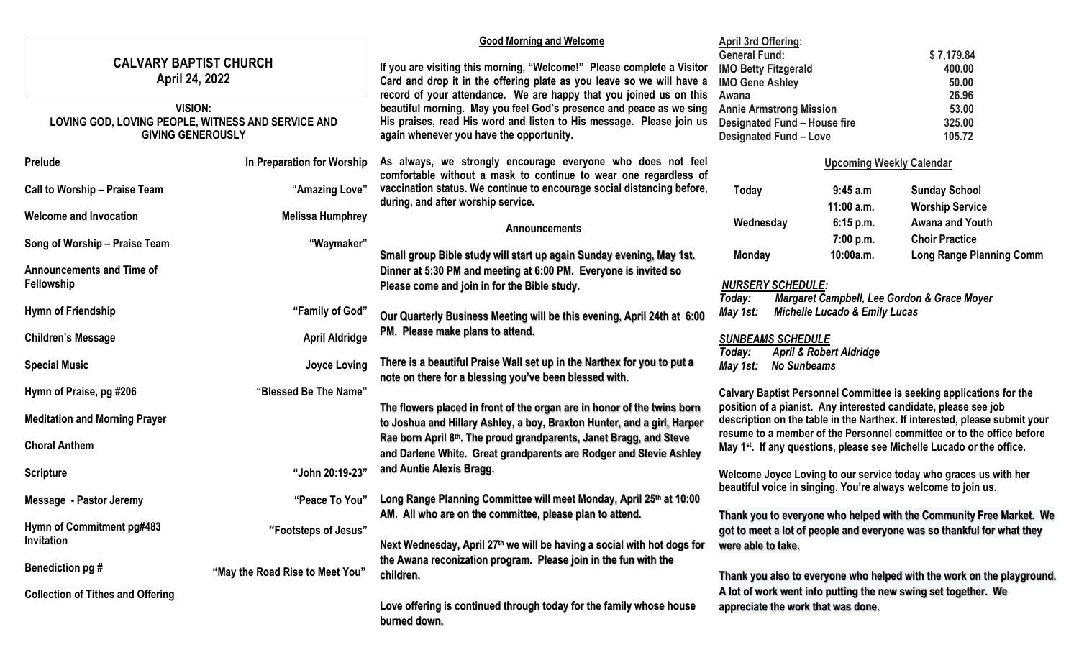| <b>CALVARY BAPTIST CHURCH</b><br>April 24, 2022                                                  |                                 | <b>Good Morning and Welcome</b><br>If you are visiting this morning, "Welcome!" Please complete a Visitor<br>Card and drop it in the offering plate as you leave so we will have a<br>record of your attendance. We are happy that you joined us on this |                                                                                                                                                                     | <b>April 3rd Offering:</b><br><b>General Fund:</b><br><b>IMO Betty Fitzgerald</b><br><b>IMO Gene Ashley</b> |                           | \$7,179.84<br>400.00<br>50.00<br>26.96                   |
|--------------------------------------------------------------------------------------------------|---------------------------------|----------------------------------------------------------------------------------------------------------------------------------------------------------------------------------------------------------------------------------------------------------|---------------------------------------------------------------------------------------------------------------------------------------------------------------------|-------------------------------------------------------------------------------------------------------------|---------------------------|----------------------------------------------------------|
| <b>VISION:</b><br>LOVING GOD, LOVING PEOPLE, WITNESS AND SERVICE AND<br><b>GIVING GENEROUSLY</b> |                                 | beautiful morning. May you feel God's presence and peace as we sing<br>His praises, read His word and listen to His message. Please join us<br>again whenever you have the opportunity.                                                                  | Awana<br><b>Annie Armstrong Mission</b><br><b>Designated Fund - House fire</b><br><b>Designated Fund - Love</b>                                                     |                                                                                                             |                           | 53.00<br>325.00<br>105.72                                |
| Prelude                                                                                          | In Preparation for Worship      | As always, we strongly encourage everyone who does not feel<br>comfortable without a mask to continue to wear one regardless of                                                                                                                          | <b>Upcoming Weekly Calendar</b>                                                                                                                                     |                                                                                                             |                           |                                                          |
| <b>Call to Worship - Praise Team</b>                                                             | "Amazing Love"                  | vaccination status. We continue to encourage social distancing before,<br>during, and after worship service.                                                                                                                                             | Today                                                                                                                                                               |                                                                                                             | 9:45 a.m                  | <b>Sunday School</b>                                     |
| <b>Welcome and Invocation</b>                                                                    | <b>Melissa Humphrey</b>         | <b>Announcements</b>                                                                                                                                                                                                                                     | Wednesday                                                                                                                                                           |                                                                                                             | $11:00$ a.m.<br>6:15 p.m. | <b>Worship Service</b><br><b>Awana and Youth</b>         |
| Song of Worship - Praise Team                                                                    | "Waymaker"                      | Small group Bible study will start up again Sunday evening, May 1st.                                                                                                                                                                                     | <b>Monday</b>                                                                                                                                                       |                                                                                                             | 7:00 p.m.<br>10:00a.m.    | <b>Choir Practice</b><br><b>Long Range Planning Comm</b> |
| <b>Announcements and Time of</b><br>Fellowship                                                   |                                 | Dinner at 5:30 PM and meeting at 6:00 PM. Everyone is invited so<br>Please come and join in for the Bible study.                                                                                                                                         | <b>NURSERY SCHEDULE:</b>                                                                                                                                            |                                                                                                             |                           |                                                          |
| <b>Hymn of Friendship</b>                                                                        | "Family of God"                 | Our Quarterly Business Meeting will be this evening, April 24th at 6:00                                                                                                                                                                                  | Margaret Campbell, Lee Gordon & Grace Moyer<br>Today:<br><b>Michelle Lucado &amp; Emily Lucas</b><br>May 1st:                                                       |                                                                                                             |                           |                                                          |
| <b>Children's Message</b>                                                                        | <b>April Aldridge</b>           | PM. Please make plans to attend.                                                                                                                                                                                                                         | <b>SUNBEAMS SCHEDULE</b><br><b>April &amp; Robert Aldridge</b><br>Today:                                                                                            |                                                                                                             |                           |                                                          |
| <b>Special Music</b>                                                                             | <b>Joyce Loving</b>             | There is a beautiful Praise Wall set up in the Narthex for you to put a<br>note on there for a blessing you've been blessed with.                                                                                                                        | May 1st:<br><b>No Sunbeams</b>                                                                                                                                      |                                                                                                             |                           |                                                          |
| Hymn of Praise, pg #206                                                                          | "Blessed Be The Name"           |                                                                                                                                                                                                                                                          | Calvary Baptist Personnel Committee is seeking applications for the                                                                                                 |                                                                                                             |                           |                                                          |
| <b>Meditation and Morning Prayer</b>                                                             |                                 | The flowers placed in front of the organ are in honor of the twins born<br>to Joshua and Hillary Ashley, a boy, Braxton Hunter, and a girl, Harper                                                                                                       | position of a pianist. Any interested candidate, please see job<br>description on the table in the Narthex. If interested, please submit your                       |                                                                                                             |                           |                                                          |
| <b>Choral Anthem</b>                                                                             |                                 | Rae born April 8th. The proud grandparents, Janet Bragg, and Steve<br>and Darlene White. Great grandparents are Rodger and Stevie Ashley                                                                                                                 | resume to a member of the Personnel committee or to the office before<br>May 1 <sup>st</sup> . If any questions, please see Michelle Lucado or the office.          |                                                                                                             |                           |                                                          |
| <b>Scripture</b>                                                                                 | "John 20:19-23"                 | and Auntie Alexis Bragg.                                                                                                                                                                                                                                 | Welcome Joyce Loving to our service today who graces us with her<br>beautiful voice in singing. You're always welcome to join us.                                   |                                                                                                             |                           |                                                          |
| Message - Pastor Jeremy                                                                          | "Peace To You"                  | Long Range Planning Committee will meet Monday, April 25th at 10:00                                                                                                                                                                                      |                                                                                                                                                                     |                                                                                                             |                           |                                                          |
| Hymn of Commitment pg#483<br>Invitation                                                          | "Footsteps of Jesus"            | AM. All who are on the committee, please plan to attend.<br>Next Wednesday, April 27th we will be having a social with hot dogs for                                                                                                                      | Thank you to everyone who helped with the Community Free Market. We<br>got to meet a lot of people and everyone was so thankful for what they<br>were able to take. |                                                                                                             |                           |                                                          |
| Benediction pg #                                                                                 | "May the Road Rise to Meet You" | the Awana reconization program. Please join in the fun with the<br>children.                                                                                                                                                                             | Thank you also to everyone who helped with the work on the playground.                                                                                              |                                                                                                             |                           |                                                          |
| <b>Collection of Tithes and Offering</b>                                                         |                                 | Love offering is continued through today for the family whose house<br>burned down.                                                                                                                                                                      | A lot of work went into putting the new swing set together. We<br>appreciate the work that was done.                                                                |                                                                                                             |                           |                                                          |